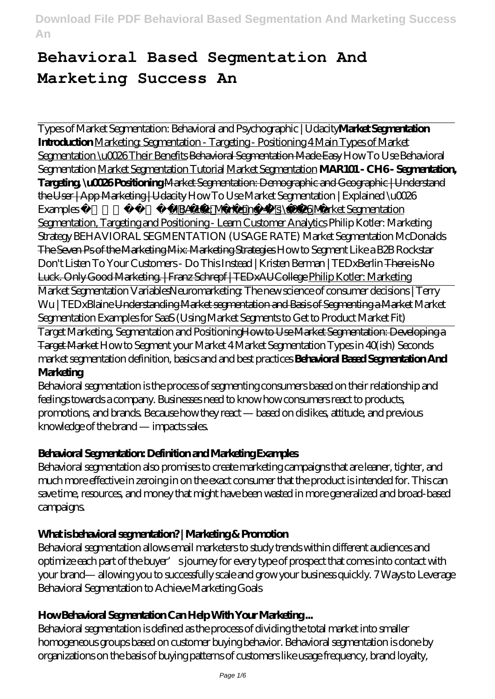# **Behavioral Based Segmentation And Marketing Success An**

Types of Market Segmentation: Behavioral and Psychographic | Udacity**Market Segmentation Introduction** Marketing: Segmentation - Targeting - Positioning 4 Main Types of Market Segmentation \u0026 Their Benefits Behavioral Segmentation Made Easy How To Use Behavioral Segmentation Market Segmentation Tutorial Market Segmentation **MAR101 - CH6 - Segmentation, Targeting, \u0026 Positioning** Market Segmentation: Demographic and Geographic | Understand the User | App Marketing | Udacity *How To Use Market Segmentation | Explained \u0026 Examples* MBA 101: Marketing, 4P's \u0026 Market Segmentation Segmentation, Targeting and Positioning - Learn Customer Analytics *Philip Kotler: Marketing Strategy BEHAVIORAL SEGMENTATION (USAGE RATE) Market Segmentation McDonalds* The Seven Ps of the Marketing Mix: Marketing Strategies *How to Segment Like a B2B Rockstar* Don't Listen To Your Customers - Do This Instead | Kristen Berman | TEDxBerlin <del>There is No</del> Luck. Only Good Marketing. | Franz Schrepf | TEDxAUCollege Philip Kotler: Marketing Market Segmentation Variables*Neuromarketing: The new science of consumer decisions | Terry Wu | TEDxBlaine* Understanding Market segmentation and Basis of Segmenting a Market *Market*

*Segmentation Examples for SaaS (Using Market Segments to Get to Product Market Fit)*

Target Marketing, Segmentation and PositioningHow to Use Market Segmentation: Developing a Target Market *How to Segment your Market 4 Market Segmentation Types in 40(ish) Seconds market segmentation definition, basics and and best practices* **Behavioral Based Segmentation And Marketing**

Behavioral segmentation is the process of segmenting consumers based on their relationship and feelings towards a company. Businesses need to know how consumers react to products, promotions, and brands. Because how they react — based on dislikes, attitude, and previous knowledge of the brand — impacts sales.

# **Behavioral Segmentation: Definition and Marketing Examples**

Behavioral segmentation also promises to create marketing campaigns that are leaner, tighter, and much more effective in zeroing in on the exact consumer that the product is intended for. This can save time, resources, and money that might have been wasted in more generalized and broad-based **campaigns.** 

# **What is behavioral segmentation? | Marketing & Promotion**

Behavioral segmentation allows email marketers to study trends within different audiences and optimize each part of the buyer's journey for every type of prospect that comes into contact with your brand— allowing you to successfully scale and grow your business quickly. 7 Ways to Leverage Behavioral Segmentation to Achieve Marketing Goals

## **How Behavioral Segmentation Can Help With Your Marketing ...**

Behavioral segmentation is defined as the process of dividing the total market into smaller homogeneous groups based on customer buying behavior. Behavioral segmentation is done by organizations on the basis of buying patterns of customers like usage frequency, brand loyalty,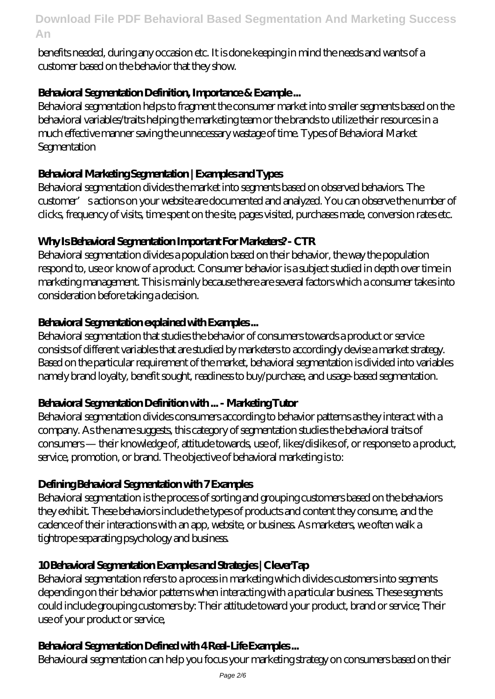benefits needed, during any occasion etc. It is done keeping in mind the needs and wants of a customer based on the behavior that they show.

## **Behavioral Segmentation Definition, Importance & Example ...**

Behavioral segmentation helps to fragment the consumer market into smaller segments based on the behavioral variables/traits helping the marketing team or the brands to utilize their resources in a much effective manner saving the unnecessary wastage of time. Types of Behavioral Market **Segmentation** 

# **Behavioral Marketing Segmentation | Examples and Types**

Behavioral segmentation divides the market into segments based on observed behaviors. The customer's actions on your website are documented and analyzed. You can observe the number of clicks, frequency of visits, time spent on the site, pages visited, purchases made, conversion rates etc.

# **Why Is Behavioral Segmentation Important For Marketers? - CTR**

Behavioral segmentation divides a population based on their behavior, the way the population respond to, use or know of a product. Consumer behavior is a subject studied in depth over time in marketing management. This is mainly because there are several factors which a consumer takes into consideration before taking a decision.

# **Behavioral Segmentation explained with Examples ...**

Behavioral segmentation that studies the behavior of consumers towards a product or service consists of different variables that are studied by marketers to accordingly devise a market strategy. Based on the particular requirement of the market, behavioral segmentation is divided into variables namely brand loyalty, benefit sought, readiness to buy/purchase, and usage-based segmentation.

# **Behavioral Segmentation Definition with ... - Marketing Tutor**

Behavioral segmentation divides consumers according to behavior patterns as they interact with a company. As the name suggests, this category of segmentation studies the behavioral traits of consumers — their knowledge of, attitude towards, use of, likes/dislikes of, or response to a product, service, promotion, or brand. The objective of behavioral marketing is to:

# **Defining Behavioral Segmentation with 7 Examples**

Behavioral segmentation is the process of sorting and grouping customers based on the behaviors they exhibit. These behaviors include the types of products and content they consume, and the cadence of their interactions with an app, website, or business. As marketers, we often walk a tightrope separating psychology and business.

# **10 Behavioral Segmentation Examples and Strategies | CleverTap**

Behavioral segmentation refers to a process in marketing which divides customers into segments depending on their behavior patterns when interacting with a particular business. These segments could include grouping customers by: Their attitude toward your product, brand or service; Their use of your product or service,

# **Behavioral Segmentation Defined with 4 Real-Life Examples ...**

Behavioural segmentation can help you focus your marketing strategy on consumers based on their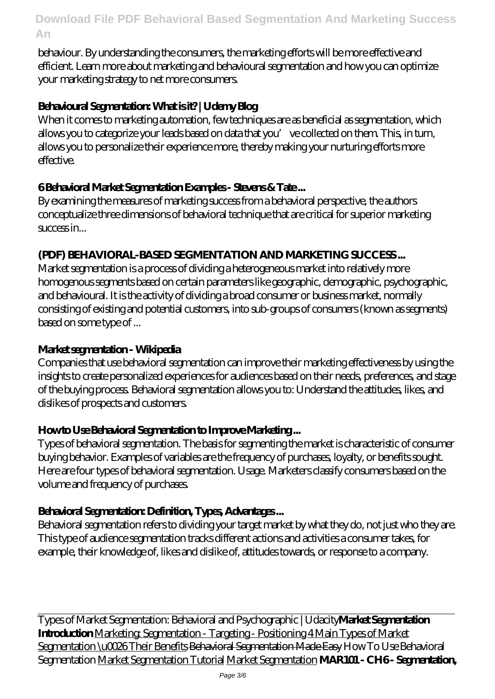behaviour. By understanding the consumers, the marketing efforts will be more effective and efficient. Learn more about marketing and behavioural segmentation and how you can optimize your marketing strategy to net more consumers.

## **Behavioural Segmentation: What is it? | Udemy Blog**

When it comes to marketing automation, few techniques are as beneficial as segmentation, which allows you to categorize your leads based on data that you've collected on them. This, in turn, allows you to personalize their experience more, thereby making your nurturing efforts more effective.

## **6 Behavioral Market Segmentation Examples - Stevens & Tate ...**

By examining the measures of marketing success from a behavioral perspective, the authors conceptualize three dimensions of behavioral technique that are critical for superior marketing success in...

## **(PDF) BEHAVIORAL-BASED SEGMENTATION AND MARKETING SUCCESS ...**

Market segmentation is a process of dividing a heterogeneous market into relatively more homogenous segments based on certain parameters like geographic, demographic, psychographic, and behavioural. It is the activity of dividing a broad consumer or business market, normally consisting of existing and potential customers, into sub-groups of consumers (known as segments) based on some type of ...

#### **Market segmentation - Wikipedia**

Companies that use behavioral segmentation can improve their marketing effectiveness by using the insights to create personalized experiences for audiences based on their needs, preferences, and stage of the buying process. Behavioral segmentation allows you to: Understand the attitudes, likes, and dislikes of prospects and customers.

#### **How to Use Behavioral Segmentation to Improve Marketing ...**

Types of behavioral segmentation. The basis for segmenting the market is characteristic of consumer buying behavior. Examples of variables are the frequency of purchases, loyalty, or benefits sought. Here are four types of behavioral segmentation. Usage. Marketers classify consumers based on the volume and frequency of purchases.

## **Behavioral Segmentation: Definition, Types, Advantages ...**

Behavioral segmentation refers to dividing your target market by what they do, not just who they are. This type of audience segmentation tracks different actions and activities a consumer takes, for example, their knowledge of, likes and dislike of, attitudes towards, or response to a company.

Types of Market Segmentation: Behavioral and Psychographic | Udacity**Market Segmentation Introduction** Marketing: Segmentation - Targeting - Positioning 4 Main Types of Market Segmentation \u0026 Their Benefits Behavioral Segmentation Made Easy How To Use Behavioral Segmentation Market Segmentation Tutorial Market Segmentation **MAR101 - CH6 - Segmentation,**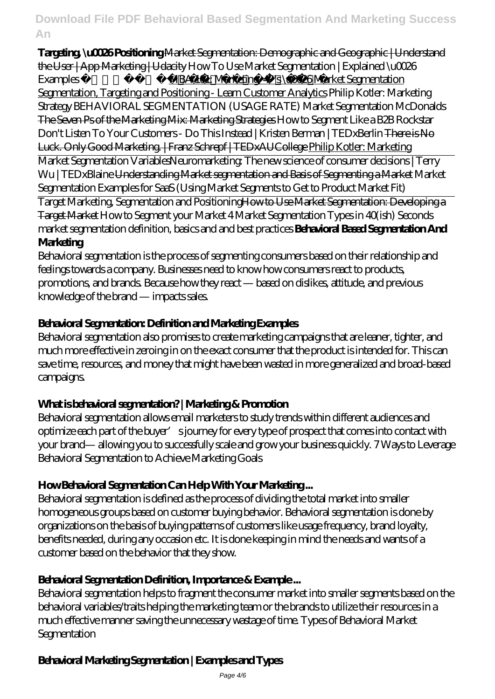**Targeting, \u0026 Positioning Market Segmentation: Demographic and Geographic | Understand** the User | App Marketing | Udacity *How To Use Market Segmentation | Explained \u0026 Examples* MBA 101: Marketing, 4P's \u0026 Market Segmentation Segmentation, Targeting and Positioning - Learn Customer Analytics *Philip Kotler: Marketing Strategy BEHAVIORAL SEGMENTATION (USAGE RATE) Market Segmentation McDonalds* The Seven Ps of the Marketing Mix: Marketing Strategies *How to Segment Like a B2B Rockstar* Don't Listen To Your Customers - Do This Instead | Kristen Berman | TEDxBerlin <del>There is No</del> Luck. Only Good Marketing. | Franz Schrepf | TEDxAUCollege Philip Kotler: Marketing Market Segmentation Variables*Neuromarketing: The new science of consumer decisions | Terry*

*Wu | TEDxBlaine* Understanding Market segmentation and Basis of Segmenting a Market *Market Segmentation Examples for SaaS (Using Market Segments to Get to Product Market Fit)*

Target Marketing, Segmentation and PositioningHow to Use Market Segmentation: Developing a Target Market *How to Segment your Market 4 Market Segmentation Types in 40(ish) Seconds market segmentation definition, basics and and best practices* **Behavioral Based Segmentation And**

## **Marketing**

Behavioral segmentation is the process of segmenting consumers based on their relationship and feelings towards a company. Businesses need to know how consumers react to products, promotions, and brands. Because how they react — based on dislikes, attitude, and previous knowledge of the brand — impacts sales.

## **Behavioral Segmentation: Definition and Marketing Examples**

Behavioral segmentation also promises to create marketing campaigns that are leaner, tighter, and much more effective in zeroing in on the exact consumer that the product is intended for. This can save time, resources, and money that might have been wasted in more generalized and broad-based campaigns.

## **What is behavioral segmentation? | Marketing & Promotion**

Behavioral segmentation allows email marketers to study trends within different audiences and optimize each part of the buyer's journey for every type of prospect that comes into contact with your brand— allowing you to successfully scale and grow your business quickly. 7 Ways to Leverage Behavioral Segmentation to Achieve Marketing Goals

# **How Behavioral Segmentation Can Help With Your Marketing ...**

Behavioral segmentation is defined as the process of dividing the total market into smaller homogeneous groups based on customer buying behavior. Behavioral segmentation is done by organizations on the basis of buying patterns of customers like usage frequency, brand loyalty, benefits needed, during any occasion etc. It is done keeping in mind the needs and wants of a customer based on the behavior that they show.

## **Behavioral Segmentation Definition, Importance & Example ...**

Behavioral segmentation helps to fragment the consumer market into smaller segments based on the behavioral variables/traits helping the marketing team or the brands to utilize their resources in a much effective manner saving the unnecessary wastage of time. Types of Behavioral Market Segmentation

# **Behavioral Marketing Segmentation | Examples and Types**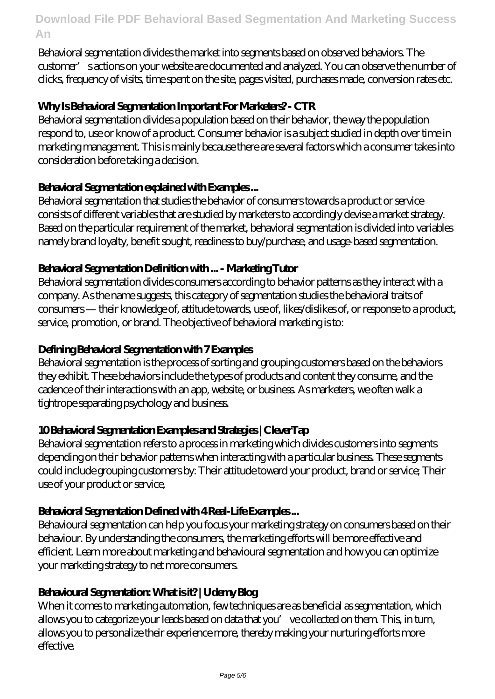Behavioral segmentation divides the market into segments based on observed behaviors. The customer's actions on your website are documented and analyzed. You can observe the number of clicks, frequency of visits, time spent on the site, pages visited, purchases made, conversion rates etc.

## **Why Is Behavioral Segmentation Important For Marketers? - CTR**

Behavioral segmentation divides a population based on their behavior, the way the population respond to, use or know of a product. Consumer behavior is a subject studied in depth over time in marketing management. This is mainly because there are several factors which a consumer takes into consideration before taking a decision.

#### **Behavioral Segmentation explained with Examples ...**

Behavioral segmentation that studies the behavior of consumers towards a product or service consists of different variables that are studied by marketers to accordingly devise a market strategy. Based on the particular requirement of the market, behavioral segmentation is divided into variables namely brand loyalty, benefit sought, readiness to buy/purchase, and usage-based segmentation.

#### **Behavioral Segmentation Definition with ... - Marketing Tutor**

Behavioral segmentation divides consumers according to behavior patterns as they interact with a company. As the name suggests, this category of segmentation studies the behavioral traits of consumers — their knowledge of, attitude towards, use of, likes/dislikes of, or response to a product, service, promotion, or brand. The objective of behavioral marketing is to:

#### **Defining Behavioral Segmentation with 7 Examples**

Behavioral segmentation is the process of sorting and grouping customers based on the behaviors they exhibit. These behaviors include the types of products and content they consume, and the cadence of their interactions with an app, website, or business. As marketers, we often walk a tightrope separating psychology and business.

#### **10 Behavioral Segmentation Examples and Strategies | CleverTap**

Behavioral segmentation refers to a process in marketing which divides customers into segments depending on their behavior patterns when interacting with a particular business. These segments could include grouping customers by: Their attitude toward your product, brand or service; Their use of your product or service,

#### **Behavioral Segmentation Defined with 4 Real-Life Examples ...**

Behavioural segmentation can help you focus your marketing strategy on consumers based on their behaviour. By understanding the consumers, the marketing efforts will be more effective and efficient. Learn more about marketing and behavioural segmentation and how you can optimize your marketing strategy to net more consumers.

#### **Behavioural Segmentation: What is it? | Udemy Blog**

When it comes to marketing automation, few techniques are as beneficial as segmentation, which allows you to categorize your leads based on data that you've collected on them. This, in turn, allows you to personalize their experience more, thereby making your nurturing efforts more effective.